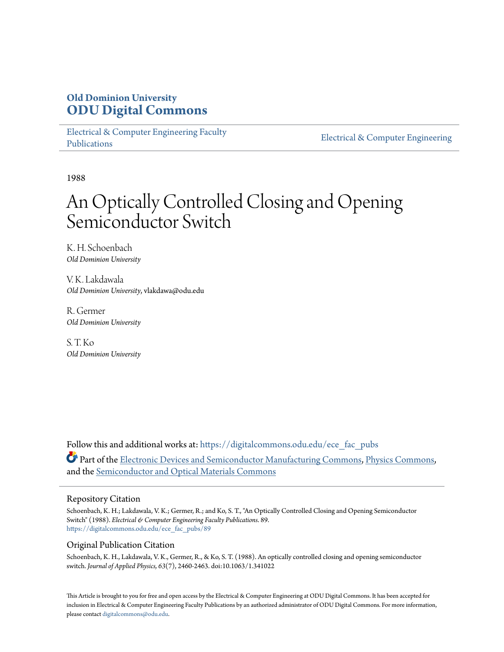## **Old Dominion University [ODU Digital Commons](https://digitalcommons.odu.edu?utm_source=digitalcommons.odu.edu%2Fece_fac_pubs%2F89&utm_medium=PDF&utm_campaign=PDFCoverPages)**

[Electrical & Computer Engineering Faculty](https://digitalcommons.odu.edu/ece_fac_pubs?utm_source=digitalcommons.odu.edu%2Fece_fac_pubs%2F89&utm_medium=PDF&utm_campaign=PDFCoverPages) [Publications](https://digitalcommons.odu.edu/ece_fac_pubs?utm_source=digitalcommons.odu.edu%2Fece_fac_pubs%2F89&utm_medium=PDF&utm_campaign=PDFCoverPages)

[Electrical & Computer Engineering](https://digitalcommons.odu.edu/ece?utm_source=digitalcommons.odu.edu%2Fece_fac_pubs%2F89&utm_medium=PDF&utm_campaign=PDFCoverPages)

1988

# An Optically Controlled Closing and Opening Semiconductor Switch

K. H. Schoenbach *Old Dominion University*

V. K. Lakdawala *Old Dominion University*, vlakdawa@odu.edu

R. Germer *Old Dominion University*

S. T. Ko *Old Dominion University*

Follow this and additional works at: [https://digitalcommons.odu.edu/ece\\_fac\\_pubs](https://digitalcommons.odu.edu/ece_fac_pubs?utm_source=digitalcommons.odu.edu%2Fece_fac_pubs%2F89&utm_medium=PDF&utm_campaign=PDFCoverPages) Part of the [Electronic Devices and Semiconductor Manufacturing Commons](http://network.bepress.com/hgg/discipline/272?utm_source=digitalcommons.odu.edu%2Fece_fac_pubs%2F89&utm_medium=PDF&utm_campaign=PDFCoverPages), [Physics Commons,](http://network.bepress.com/hgg/discipline/193?utm_source=digitalcommons.odu.edu%2Fece_fac_pubs%2F89&utm_medium=PDF&utm_campaign=PDFCoverPages) and the [Semiconductor and Optical Materials Commons](http://network.bepress.com/hgg/discipline/290?utm_source=digitalcommons.odu.edu%2Fece_fac_pubs%2F89&utm_medium=PDF&utm_campaign=PDFCoverPages)

#### Repository Citation

Schoenbach, K. H.; Lakdawala, V. K.; Germer, R.; and Ko, S. T., "An Optically Controlled Closing and Opening Semiconductor Switch" (1988). *Electrical & Computer Engineering Faculty Publications*. 89. [https://digitalcommons.odu.edu/ece\\_fac\\_pubs/89](https://digitalcommons.odu.edu/ece_fac_pubs/89?utm_source=digitalcommons.odu.edu%2Fece_fac_pubs%2F89&utm_medium=PDF&utm_campaign=PDFCoverPages)

#### Original Publication Citation

Schoenbach, K. H., Lakdawala, V. K., Germer, R., & Ko, S. T. (1988). An optically controlled closing and opening semiconductor switch. *Journal of Applied Physics, 63*(7), 2460-2463. doi:10.1063/1.341022

This Article is brought to you for free and open access by the Electrical & Computer Engineering at ODU Digital Commons. It has been accepted for inclusion in Electrical & Computer Engineering Faculty Publications by an authorized administrator of ODU Digital Commons. For more information, please contact [digitalcommons@odu.edu](mailto:digitalcommons@odu.edu).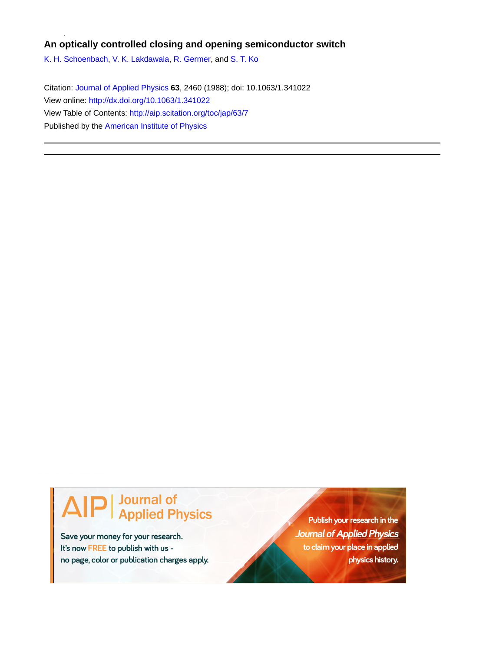#### **An optically controlled closing and opening semiconductor switch**

[K. H. Schoenbach,](http://aip.scitation.org/author/Schoenbach%2C+K+H) [V. K. Lakdawala,](http://aip.scitation.org/author/Lakdawala%2C+V+K) [R. Germer,](http://aip.scitation.org/author/Germer%2C+R) and [S. T. Ko](http://aip.scitation.org/author/Ko%2C+S+T)

Citation: [Journal of Applied Physics](/loi/jap) **63**, 2460 (1988); doi: 10.1063/1.341022 View online: <http://dx.doi.org/10.1063/1.341022> View Table of Contents: <http://aip.scitation.org/toc/jap/63/7> Published by the [American Institute of Physics](http://aip.scitation.org/publisher/)

# Journal of<br>Applied Physics

Save your money for your research. It's now FREE to publish with us no page, color or publication charges apply.

Publish your research in the **Journal of Applied Physics** to claim your place in applied physics history.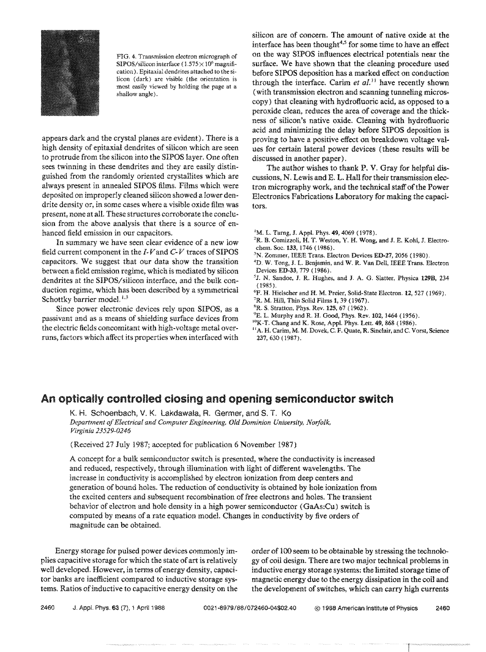

FIG. 4. Transmission electron micrograph of SIPOS/silicon interface  $(1.575 \times 10^6 \text{ magnifi-}$ cation). Epitaxial dendrites attached to the silicon (dark) are visible (the orientation is most easily viewed by holding the page at a shallow angle).

appears dark and the crystal planes are evident). There is a high density of epitaxial dendrites of silicon which are seen to protrude from the silicon into the SIPOS layer. One often sees twinning in these dendrites and they are easily distinguished from the randomly oriented crystallites which are always present in annealed SIPOS films. Films which were deposited on improperly cleaned silicon showed a lower dendrite density or, in some cases where a visible oxide film was present, none at all. These structures corroborate the conclusion from the above analysis that there is a source of enhanced field emission in our capacitors.

In summary we have seen dear evidence of a new low field current component in the *1- V* and c- *V* traces of SIPOS capacitors. We suggest that our data show the transition between a field emission regime, which is mediated by silicon dendrites at the SIPOS/silicon interface, and the bulk conduction regime, which has been described by a symmetrical Schottky barrier model.<sup>1,3</sup>

Since power electronic devices rely upon SIPOS, as a passivant and as a means of shielding surface devices from the electric fields concomitant with high-voltage metal overruns, factors which affect its properties when interfaced with

silicon are of concern. The amount of native oxide at the interface has been thought<sup> $4,5$ </sup> for some time to have an effect on the way SIPOS influences electrical potentials near the surface. We have shown that the cleaning procedure used before SIPOS deposition has a marked effect on conduction through the interface. Carim *et al.*<sup>11</sup> have recently shown (with transmission electron and scanning tunneling microscopy) that cleaning with hydrofluoric acid, as opposed to a peroxide clean, reduces the area of coverage and the thickness of silicon's native oxide. Cleaning with hydrofiuoric acid and minimizing the delay before SIPOS deposition is proving to have a positive effect on breakdown voltage values for certain lateral power devices (these results will be discussed in another paper) .

The author wishes to thank P. V. Gray for helpful discussions, N. Lewis and E. L. Hall for their transmission electron micrography work, and the technical staff of the Power Electronics Fabrications Laboratory for making the capacitors.

- <sup>1</sup>M. L. Tarng, J. Appl. Phys. 49, 4069 (1978).
- 2R. B. Comizzoli, H. T. Weston, Y. H. Wong, and J. E. Kohl, J. Electrochern. Soc. 133,1746 (1986).
- 3N. Zommer, IEEE Trans. Electron Devices ED-27, 2056 (1980).
- 4D. W. Tong, J. L. Benjamin, and W. R. Van Dell, IEEE Trans. Electron Devices ED·33, 779 ( 1986) .
- 5J. N. Sandoe, J. R. Hughes, and J. A. G. Slatter, Physica 129B, 234 (1985).
- 6F. H. Hielscher and H. M. Preier, Solid-State Electron, 12, 527 (1969).
- 7R. M. Hill, Thin Solid Films 1, 39 (1967).
- SR. S. Stratton, Phys. Rev. 125, 67 (1962).
- "E. L. Murphy and R. H. Good, Phys. Rev. 102, 1464 (1956).
- iOK -T. Chang and K, Rose, App!. Phys. Lett. 49, 868 (1986).
- II A. H. Carim, M. M. Dovek, C. F. Quate, R. Sinclair, and C. Vorst, Science 237,630 (1987).

#### **An optically controlled closing and opening semiconductor switch**

K. H. Schoenbach, V. K. Lakdawala, R. Germer, and S. T. Ko *Department of Electrical and Computer Engineering, Old Dominion University, Norfolk, Virginia 23529-0246* 

(Received 27 July 1987; accepted for publication 6 November 1987)

A concept for a bulk semiconductor switch is presented, where the conductivity is increased and reduced, respectively, through illumination with light of different wavelengths. The increase in conductivity is accomplished by electron ionization from deep centers and generation of bound holes. The reduction of conductivity is obtained by hole ionization from the excited centers and subsequent recombination of free electrons and holes. The transient behavior of electron and hole density in a high power semiconductor (GaAs:Cu) switch is computed by means of a rate equation model. Changes in conductivity by five orders of magnitude can be obtained.

Energy storage for pulsed power devices commonly implies capacitive storage for which the state of art is relatively well developed. However, in terms of energy density, capacitor banks are inefficient compared to inductive storage systems. Ratios of inductive to capacitive energy density on the order of 100 seem to be obtainable by stressing the technology of coil design. There are two major technical problems in inductive energy storage systems: the limited storage time of magnetic energy due to the energy dissipation in the coil and the development of switches, which can carry high currents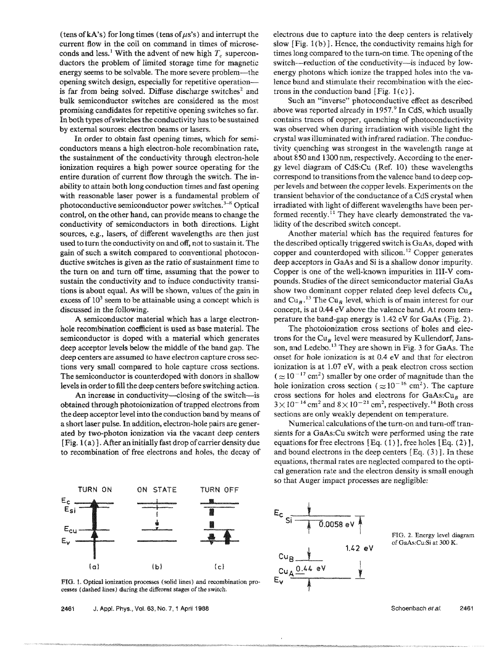(tens of kA's) for long times (tens of  $\mu$ s's) and interrupt the current flow in the coil on command in times of microseconds and less.<sup>1</sup> With the advent of new high  $T_c$  superconductors the problem of limited storage time for magnetic energy seems to be solvable. The more severe problem--- the opening switch design, especially for repetitive operationis far from being solved. Diffuse discharge switches<sup>2</sup> and bulk semiconductor switches are considered as the most promising candidates for repetitive opening switches so far. In both types of switches the conductivity has to be sustained by external sources: electron beams or lasers.

In order to obtain fast opening times, which for semiconductors means a high electron-hole recombination rate, the sustainment of the conductivity through electron-hole ionization requires a high power source operating for the entire duration of current flow through the switch. The inability to attain both long conduction times and fast opening with reasonable laser power is a fundamental problem of photoconductive semiconductor power switches.<sup>3-8</sup> Optical control, on the other hand, can provide means to change the conductivity of semiconductors in both directions. Light sources, e.g., lasers, of different wavelengths are then just used to turn the conductivity on and off, not to sustain it. The gain of such a switch compared to conventional photoconductive switches is given as the ratio of sustainment time to the turn on and turn off time, assuming that the power to sustain the conductivity and to induce conductivity transitions is about equal. As will be shown, values of the gain in excess of  $10<sup>3</sup>$  seem to be attainable using a concept which is discussed in the following.

A semiconductor material which has a large electronhole recombination coefficient is used as base material. The semiconductor is doped with a material which generates deep acceptor levels below the middle of the band gap. The deep centers are assumed to have electron capture cross sections very small compared to hole capture cross sections. The semiconductor is counterdoped with donors in shallow levels in order to fill the deep centers before switching action.

An increase in conductivity--closing of the switch-is obtained through photoionization of trapped electrons from the deep acceptor level into the conduction band by means of a short laser pulse. In addition, electron-hole pairs are generated by two-photon ionization via the vacant deep centers [Fig, 1(a)]. After an initially fast drop of carrier density due to recombination of free electrons and holes, the decay of



FIG. L Optical ionization processes (solid lines) and recombination processes (dashed lines) during the different stages of the switch.

2461 J. Appl. Phys., Vol. 63, No.7, 1 April 1988

electrons due to capture into the deep centers is relatively slow  $[Fig, 1(b)]$ . Hence, the conductivity remains high for times long compared to the turn-on time. The opening of the switch--reduction of the conductivity--is induced by lowenergy photons which ionize the trapped holes into the valence band and stimulate their recombination with the electrons in the conduction band [Fig.  $1(c)$ ].

Such an "inverse" photoconductive effect as described above was reported already in 1957.<sup>9</sup> In CdS, which usually contains traces of copper, quenching of photoconductivity was observed when during irradiation with visible light the crystal was illuminated with infrared radiation. The conductivity quenching was strongest in the wavelength range at about 850 and 1300 nm, respectively. According to the energy level diagram of CdS:Cu (Ref. 10) these wavelengths correspond to transitions from the valence band to deep copper levels and between the copper levels. Experiments on the transient behavior of the conductance of a CdS crystal when irradiated with light of different wavelengths have been performed recently.<sup> $^{11}$ </sup> They have clearly demonstrated the validity of the described switch concept.

Another material which has the required features for the described optically triggered switch is GaAs, doped with copper and counterdoped with silicon. 12 Copper generates deep acceptors in GaAs and Si is a shallow donor impurity. Copper is one of the well-known impurities in HI-V compounds. Studies of the direct semiconductor material GaAs show two dominant copper related deep level defects  $Cu<sub>A</sub>$ and  $Cu_B$ .<sup>13</sup> The Cu<sub>B</sub> level, which is of main interest for our concept, is at 0.44 eV above the valence band. At room temperature the band-gap energy is 1.42 eV for GaAs (Fig. 2).

The photoionization cross sections of holes and electrons for the  $Cu_B$  level were measured by Kullendorf, Jansson, and Ledebo.<sup>13</sup> They are shown in Fig. 3 for GaAs. The onset for hole ionization is at 0.4 eV and that for electron ionization is at 1.07 eV, with a peak electron cross section  $(z=10^{-17} \text{ cm}^2)$  smaller by one order of magnitude than the hole ionization cross section ( $\approx 10^{-16}$  cm<sup>2</sup>). The capture cross sections for holes and electrons for  $GaAs:Cu<sub>B</sub>$  are  $3 \times 10^{-14}$  cm<sup>2</sup> and  $8 \times 10^{-21}$  cm<sup>2</sup>, respectively.<sup>14</sup> Both cross sections are only weakly dependent on temperature.

Numerical calculations of the turn-on and turn-off transients for a GaAs:Cu switch were performed using the rate equations for free electrons  $[Eq. (1)]$ , free holes  $[Eq. (2)]$ , and bound electrons in the deep centers [Eq. (3)]. In these equations, thermal rates are neglected compared to the optical generation rate and the electron density is small enough so that Auger impact processes are negligible:



FIG. 2. Energy level diagram of GaAs:Cu:Si at 300 K.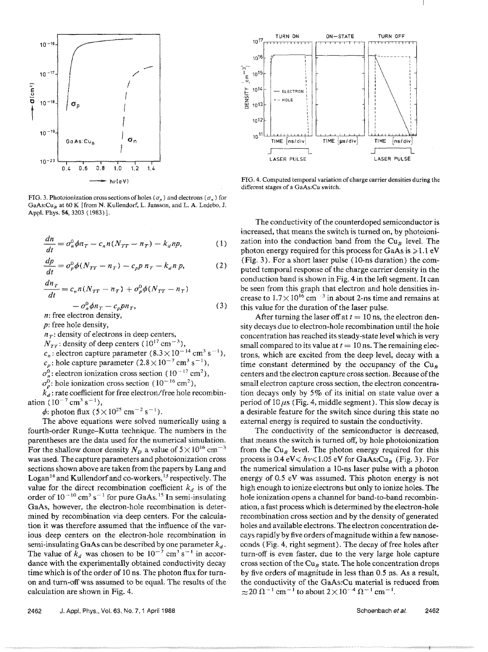

FIG. 3. Photoionization cross sections of holes  $(\sigma_n)$  and electrons  $(\sigma_n)$  for GaAs:Cu<sub>p</sub> at 60 K [from N. Kullendorf, L. Jansson, and L. A. Ledebo, J. Appl. Phys. 54, 3203 (1983)].

$$
\frac{dn}{dt} = \sigma_n^0 \phi n_T - c_n n (N_{TT} - n_T) - k_a np, \tag{1}
$$

$$
\frac{dp}{dt} = \sigma_p^0 \phi(N_{TT} - n_T) - c_p p n_T - k_a n p, \qquad (2)
$$

$$
\frac{dn_T}{dt} = c_n n(N_{TT} - n_T) + \sigma_p^0 \phi(N_{TT} - n_T)
$$

$$
- \sigma_n^0 \phi n_T - c_p p n_T,
$$
(3)

n: free electron density,

*p:* free hole density,

 $n<sub>T</sub>$ : density of electrons in deep centers,

 $N_{TT}$ : density of deep centers (10<sup>17</sup> cm<sup>-3</sup>),

 $c_n$ : electron capture parameter  $(8.3 \times 10^{-14} \text{ cm}^3 \text{ s}^{-1})$ ,

 $c_p$ : hole capture parameter  $(2.8 \times 10^{-7} \text{ cm}^3 \text{ s}^{-1})$ ,

 $\sigma_n^0$ : electron ionization cross section (10<sup>-17</sup> cm<sup>2</sup>),

 $\sigma_p^0$ : hole ionization cross section (10<sup>-16</sup> cm<sup>2</sup>),

 $k_d$ : rate coefficient for free electron/free hole recombination  $(10^{-7} \text{ cm}^3 \text{ s}^{-1})$ ,

 $\phi$ : photon flux (5×10<sup>25</sup> cm<sup>-2</sup> s<sup>-1</sup>).

The above equations were solved numerically using a fourth-order Runge-Kutta technique. The numbers in the parentheses are the data used for the numerical simulation. For the shallow donor density  $N_D$  a value of  $5 \times 10^{16}$  cm<sup>-3</sup> was used. The capture parameters and photoionization cross sections shown above are taken from the papers by Lang and Logan<sup>14</sup> and Kullendorf and co-workers,<sup>13</sup> respectively. The value for the direct recombination coefficient  $k_d$  is of the order of  $10^{-10}$  cm<sup>3</sup> s<sup>-1</sup> for pure GaAs.<sup>15</sup> In semi-insulating GaAs, however, the electron-hole recombination is determined by recombination via deep centers. For the calculation it was therefore assumed that the influence of the various deep centers on the electron-hole recombination in semi-insulating GaAs can be described by one parameter  $k_d$ . The value of  $k_d$  was chosen to be  $10^{-7}$  cm<sup>3</sup> s<sup>-1</sup> in accordance with the experimentally obtained conductivity decay time which is of the order of 10 ns. The photon flux for tumon and turn-off was assumed to be equal. The results of the calculation are shown in Fig. 4.



FIG. 4. Computed temporal variation of charge carrier densities during the different stages of a GaAs:Cu switch.

The conductivity of the counterdoped semiconductor is increased, that means the switch is turned on, by photoionization into the conduction band from the  $Cu<sub>B</sub>$  level. The photon energy required for this process for GaAs is  $\ge 1.1$  eV (Fig. 3). For a short laser pulse (10-ns duration) the computed temporal response of the charge carrier density in the conduction band is shown in Fig. 4 in the left segment. It can be seen from this graph that electron and hole densities increase to  $1.7 \times 10^{16}$  cm<sup>-3</sup> in about 2-ns time and remains at this value for the duration of the laser pulse,

After turning the laser off at  $t = 10$  ns, the electron density decays due to electron-hole recombination until the hole concentration has reached its steady-state level which is very small compared to its value at  $t = 10$  ns. The remaining electrons, which are excited from the deep level, decay with a time constant determined by the occupancy of the  $Cu<sub>B</sub>$ centers and the electron capture cross section. Because of the small electron capture cross section, the electron concentration decays only by 5% of its initial on state value over a period of 10  $\mu$ s (Fig. 4, middle segment). This slow decay is a desirable feature for the switch since during this state no external energy is required to sustain the conductivity.

The conductivity of the semiconductor is decreased, that means the switch is turned off, by hole photoionization from the  $Cu<sub>B</sub>$  level. The photon energy required for this process is 0.4 eV $\leq h\nu\leq 1.05$  eV for GaAs:Cu<sub>B</sub> (Fig. 3). For the numerical simulation a 10-ns laser pulse with a photon energy of 0.5 eV was assumed. This photon energy is not high enough to ionize electrons but only to ionize holes. The hole ionization opens a channel for band-to-band recombination, a fast process which is determined by the electron-hole recombination cross section and by the density of generated holes and available electrons. The electron concentration decays rapidly by five orders of magnitude within a few nanoseconds (Fig. 4, right segment). The decay of free holes after turn-off is even faster, due to the very large hole capture cross section of the  $Cu<sub>B</sub>$  state. The hole concentration drops by five orders of magnitude in less than 0.5 ns. As a result, the conductivity of the GaAs:Cu material is reduced from  $\approx$  20  $\Omega$  <sup>-1</sup> cm<sup>-1</sup> to about 2× 10<sup>-4</sup>  $\Omega$ <sup>-1</sup> cm<sup>-1</sup>.

2462 J. Appl. Phys., Vo!. 63, No.7, 1 April 1988

-------------·-·-·-·-·-·-·-·-·-·-·'1·-·-------